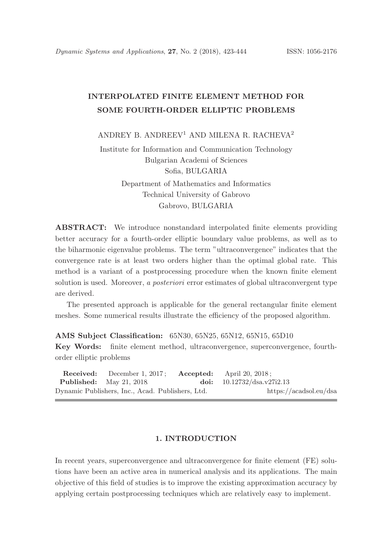# INTERPOLATED FINITE ELEMENT METHOD FOR SOME FOURTH-ORDER ELLIPTIC PROBLEMS

ANDREY B. ANDREEV<sup>1</sup> AND MILENA R. RACHEVA<sup>2</sup>

Institute for Information and Communication Technology Bulgarian Academi of Sciences Sofia, BULGARIA Department of Mathematics and Informatics Technical University of Gabrovo Gabrovo, BULGARIA

ABSTRACT: We introduce nonstandard interpolated finite elements providing better accuracy for a fourth-order elliptic boundary value problems, as well as to the biharmonic eigenvalue problems. The term "ultraconvergence" indicates that the convergence rate is at least two orders higher than the optimal global rate. This method is a variant of a postprocessing procedure when the known finite element solution is used. Moreover, a *posteriori* error estimates of global ultraconvergent type are derived.

The presented approach is applicable for the general rectangular finite element meshes. Some numerical results illustrate the efficiency of the proposed algorithm.

AMS Subject Classification: 65N30, 65N25, 65N12, 65N15, 65D10

Key Words: finite element method, ultraconvergence, superconvergence, fourthorder elliptic problems

| <b>Received:</b> December 1, 2017; <b>Accepted:</b> April 20, 2018; |                              |  |
|---------------------------------------------------------------------|------------------------------|--|
| <b>Published:</b> May 21, 2018                                      | doi: $10.12732/dsa.v27i2.13$ |  |
| Dynamic Publishers, Inc., Acad. Publishers, Ltd.                    | https://acadsol.eu/dsa       |  |

### 1. INTRODUCTION

In recent years, superconvergence and ultraconvergence for finite element (FE) solutions have been an active area in numerical analysis and its applications. The main objective of this field of studies is to improve the existing approximation accuracy by applying certain postprocessing techniques which are relatively easy to implement.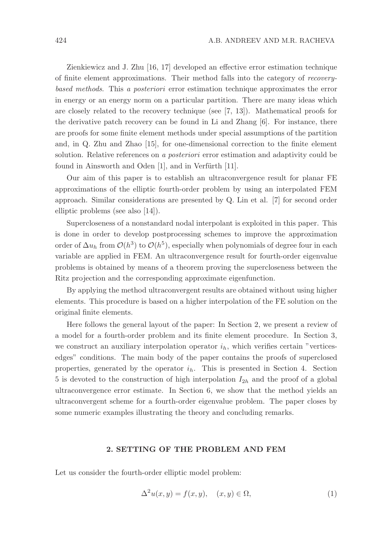Zienkiewicz and J. Zhu [16, 17] developed an effective error estimation technique of finite element approximations. Their method falls into the category of recoverybased methods. This a posteriori error estimation technique approximates the error in energy or an energy norm on a particular partition. There are many ideas which are closely related to the recovery technique (see [7, 13]). Mathematical proofs for the derivative patch recovery can be found in Li and Zhang [6]. For instance, there are proofs for some finite element methods under special assumptions of the partition and, in Q. Zhu and Zhao [15], for one-dimensional correction to the finite element solution. Relative references on a posteriori error estimation and adaptivity could be found in Ainsworth and Oden  $[1]$ , and in Verfürth  $[11]$ .

Our aim of this paper is to establish an ultraconvergence result for planar FE approximations of the elliptic fourth-order problem by using an interpolated FEM approach. Similar considerations are presented by Q. Lin et al. [7] for second order elliptic problems (see also [14]).

Supercloseness of a nonstandard nodal interpolant is exploited in this paper. This is done in order to develop postprocessing schemes to improve the approximation order of  $\Delta u_h$  from  $\mathcal{O}(h^3)$  to  $\mathcal{O}(h^5)$ , especially when polynomials of degree four in each variable are applied in FEM. An ultraconvergence result for fourth-order eigenvalue problems is obtained by means of a theorem proving the supercloseness between the Ritz projection and the corresponding approximate eigenfunction.

By applying the method ultraconvergent results are obtained without using higher elements. This procedure is based on a higher interpolation of the FE solution on the original finite elements.

Here follows the general layout of the paper: In Section 2, we present a review of a model for a fourth-order problem and its finite element procedure. In Section 3, we construct an auxiliary interpolation operator  $i<sub>h</sub>$ , which verifies certain "verticesedges" conditions. The main body of the paper contains the proofs of superclosed properties, generated by the operator  $i_h$ . This is presented in Section 4. Section 5 is devoted to the construction of high interpolation  $I_{2h}$  and the proof of a global ultraconvergence error estimate. In Section 6, we show that the method yields an ultraconvergent scheme for a fourth-order eigenvalue problem. The paper closes by some numeric examples illustrating the theory and concluding remarks.

### 2. SETTING OF THE PROBLEM AND FEM

Let us consider the fourth-order elliptic model problem:

$$
\Delta^2 u(x, y) = f(x, y), \quad (x, y) \in \Omega,\tag{1}
$$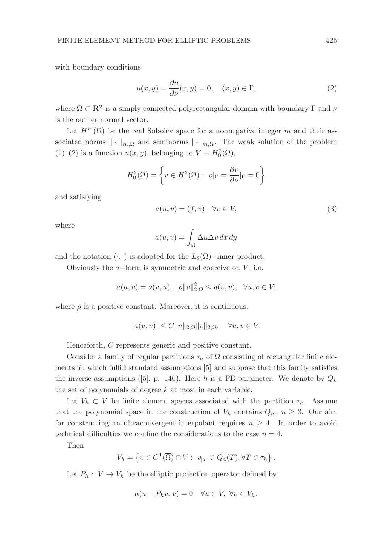with boundary conditions

$$
u(x,y) = \frac{\partial u}{\partial \nu}(x,y) = 0, \quad (x,y) \in \Gamma,
$$
\n(2)

where  $\Omega \subset \mathbf{R}^2$  is a simply connected polyrectangular domain with boundary  $\Gamma$  and  $\nu$ is the outher normal vector.

Let  $H^m(\Omega)$  be the real Sobolev space for a nonnegative integer m and their associated norms  $\|\cdot\|_{m,\Omega}$  and seminorms  $|\cdot|_{m,\Omega}$ . The weak solution of the problem (1)–(2) is a function  $u(x, y)$ , belonging to  $V \equiv H_0^2(\Omega)$ ,

$$
H_0^2(\Omega) = \left\{ v \in H^2(\Omega) : v|_{\Gamma} = \frac{\partial v}{\partial \nu}|_{\Gamma} = 0 \right\}
$$

and satisfying

$$
a(u, v) = (f, v) \quad \forall v \in V,
$$
\n(3)

where

$$
a(u, v) = \int_{\Omega} \Delta u \Delta v \, dx \, dy
$$

and the notation  $(·, ·)$  is adopted for the  $L_2(\Omega)$ −inner product.

Obviously the  $a$ -form is symmetric and coercive on  $V$ , i.e.

$$
a(u, v) = a(v, u), \quad \rho ||v||^2_{2,\Omega} \le a(v, v), \quad \forall u, v \in V,
$$

where  $\rho$  is a positive constant. Moreover, it is continuous:

$$
|a(u,v)| \le C||u||_{2,\Omega}||v||_{2,\Omega}, \quad \forall u, v \in V.
$$

Henceforth, C represents generic and positive constant.

Consider a family of regular partitions  $\tau_h$  of  $\overline{\Omega}$  consisting of rectangular finite elements  $T$ , which fulfill standard assumptions  $[5]$  and suppose that this family satisfies the inverse assumptions ([5], p. 140). Here h is a FE parameter. We denote by  $Q_k$ the set of polynomials of degree  $k$  at most in each variable.

Let  $V_h \subset V$  be finite element spaces associated with the partition  $\tau_h$ . Assume that the polynomial space in the construction of  $V_h$  contains  $Q_n$ ,  $n \geq 3$ . Our aim for constructing an ultraconvergent interpolant requires  $n \geq 4$ . In order to avoid technical difficulties we confine the considerations to the case  $n = 4$ .

Then

$$
V_h = \left\{ v \in C^1(\overline{\Omega}) \cap V : v_{|T} \in Q_4(T), \forall T \in \tau_h \right\}.
$$

Let  $P_h: V \to V_h$  be the elliptic projection operator defined by

$$
a(u - P_h u, v) = 0 \quad \forall u \in V, \ \forall v \in V_h.
$$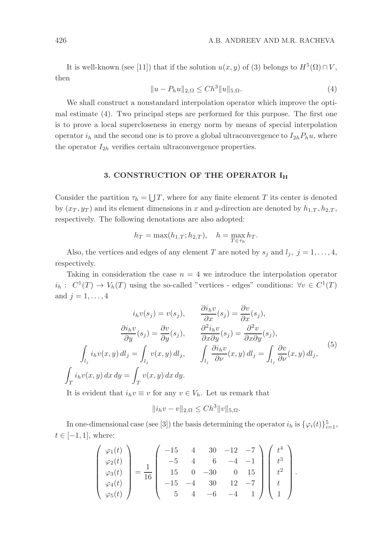It is well-known (see [11]) that if the solution  $u(x, y)$  of (3) belongs to  $H^5(\Omega) \cap V$ , then

$$
||u - P_h u||_{2,\Omega} \le C h^3 ||u||_{5,\Omega}.
$$
\n(4)

We shall construct a nonstandard interpolation operator which improve the optimal estimate (4). Two principal steps are performed for this purpose. The first one is to prove a local supercloseness in energy norm by means of special interpolation operator  $i_h$  and the second one is to prove a global ultraconvergence to  $I_{2h}P_hu$ , where the operator  $I_{2h}$  verifies certain ultraconvergence properties.

### 3. CONSTRUCTION OF THE OPERATOR IH

Consider the partition  $\tau_h = \bigcup T$ , where for any finite element T its center is denoted by  $(x_T, y_T)$  and its element dimensions in x and y-direction are denoted by  $h_{1,T}$ ,  $h_{2,T}$ , respectively. The following denotations are also adopted:

$$
h_T = \max(h_{1,T}; h_{2,T}), \quad h = \max_{T \in \tau_h} h_T.
$$

Also, the vertices and edges of any element T are noted by  $s_j$  and  $l_j$ ,  $j = 1, ..., 4$ , respectively.

Taking in consideration the case  $n = 4$  we introduce the interpolation operator  $i_h: C^1(T) \to V_h(T)$  using the so-called "vertices - edges" conditions:  $\forall v \in C^1(T)$ and  $j=1,\ldots,4$ 

$$
i_h v(s_j) = v(s_j), \qquad \frac{\partial i_h v}{\partial x}(s_j) = \frac{\partial v}{\partial x}(s_j),
$$

$$
\frac{\partial i_h v}{\partial y}(s_j) = \frac{\partial v}{\partial y}(s_j), \qquad \frac{\partial^2 i_h v}{\partial x \partial y}(s_j) = \frac{\partial^2 v}{\partial x \partial y}(s_j),
$$

$$
\int_{l_j} i_h v(x, y) dl_j = \int_{l_j} v(x, y) dl_j, \qquad \int_{l_j} \frac{\partial i_h v}{\partial \nu}(x, y) dl_j = \int_{l_j} \frac{\partial v}{\partial \nu}(x, y) dl_j,
$$

$$
\int_{T} i_h v(x, y) dx dy = \int_{T} v(x, y) dx dy.
$$
(5)

It is evident that  $i_h v \equiv v$  for any  $v \in V_h$ . Let us remark that

$$
||i_h v - v||_{2,\Omega} \le Ch^3 ||v||_{5,\Omega}.
$$

In one-dimensional case (see [3]) the basis determining the operator  $i_h$  is  $\{\varphi_i(t)\}_{i=1}^5$ ,  $t \in [-1, 1]$ , where:

$$
\begin{pmatrix}\n\varphi_1(t) \\
\varphi_2(t) \\
\varphi_3(t) \\
\varphi_4(t) \\
\varphi_5(t)\n\end{pmatrix} = \frac{1}{16} \begin{pmatrix}\n-15 & 4 & 30 & -12 & -7 \\
-5 & 4 & 6 & -4 & -1 \\
15 & 0 & -30 & 0 & 15 \\
-15 & -4 & 30 & 12 & -7 \\
5 & 4 & -6 & -4 & 1\n\end{pmatrix} \begin{pmatrix}\nt^4 \\
t^3 \\
t^2 \\
t \\
t \\
1\n\end{pmatrix}.
$$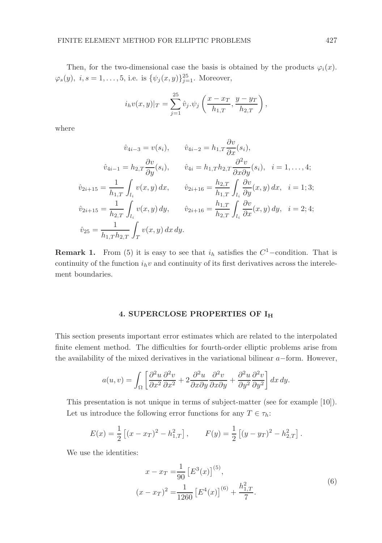Then, for the two-dimensional case the basis is obtained by the products  $\varphi_i(x)$ .  $\varphi_s(y), i, s = 1, \ldots, 5$ , i.e. is  $\{\psi_j(x, y)\}_{j=1}^{25}$ . Moreover,

$$
i_h v(x, y)|_T = \sum_{j=1}^{25} \hat{v}_j \cdot \psi_j \left( \frac{x - x_T}{h_{1,T}}, \frac{y - y_T}{h_{2,T}} \right),
$$

where

$$
\hat{v}_{4i-3} = v(s_i), \qquad \hat{v}_{4i-2} = h_{1,T} \frac{\partial v}{\partial x}(s_i),
$$
  

$$
\hat{v}_{4i-1} = h_{2,T} \frac{\partial v}{\partial y}(s_i), \qquad \hat{v}_{4i} = h_{1,T} h_{2,T} \frac{\partial^2 v}{\partial x \partial y}(s_i), \quad i = 1, ..., 4;
$$
  

$$
\hat{v}_{2i+15} = \frac{1}{h_{1,T}} \int_{l_i} v(x, y) dx, \qquad \hat{v}_{2i+16} = \frac{h_{2,T}}{h_{1,T}} \int_{l_i} \frac{\partial v}{\partial y}(x, y) dx, \quad i = 1; 3;
$$
  

$$
\hat{v}_{2i+15} = \frac{1}{h_{2,T}} \int_{l_i} v(x, y) dy, \qquad \hat{v}_{2i+16} = \frac{h_{1,T}}{h_{2,T}} \int_{l_i} \frac{\partial v}{\partial x}(x, y) dy, \quad i = 2; 4;
$$
  

$$
\hat{v}_{25} = \frac{1}{h_{1,T} h_{2,T}} \int_{T} v(x, y) dx dy.
$$

**Remark 1.** From (5) it is easy to see that  $i_h$  satisfies the  $C^1$ -condition. That is continuity of the function  $i_h v$  and continuity of its first derivatives across the interelement boundaries.

### 4. SUPERCLOSE PROPERTIES OF I<sup>H</sup>

This section presents important error estimates which are related to the interpolated finite element method. The difficulties for fourth-order elliptic problems arise from the availability of the mixed derivatives in the variational bilinear a−form. However,

$$
a(u,v) = \int_{\Omega} \left[ \frac{\partial^2 u}{\partial x^2} \frac{\partial^2 v}{\partial x^2} + 2 \frac{\partial^2 u}{\partial x \partial y} \frac{\partial^2 v}{\partial x \partial y} + \frac{\partial^2 u}{\partial y^2} \frac{\partial^2 v}{\partial y^2} \right] dx \, dy.
$$

This presentation is not unique in terms of subject-matter (see for example [10]). Let us introduce the following error functions for any  $T \in \tau_h$ :

$$
E(x) = \frac{1}{2} \left[ (x - x_T)^2 - h_{1,T}^2 \right], \qquad F(y) = \frac{1}{2} \left[ (y - y_T)^2 - h_{2,T}^2 \right].
$$

We use the identities:

$$
x - x_T = \frac{1}{90} \left[ E^3(x) \right]^{(5)},
$$
  

$$
(x - x_T)^2 = \frac{1}{1260} \left[ E^4(x) \right]^{(6)} + \frac{h_{1,T}^2}{7}.
$$
 (6)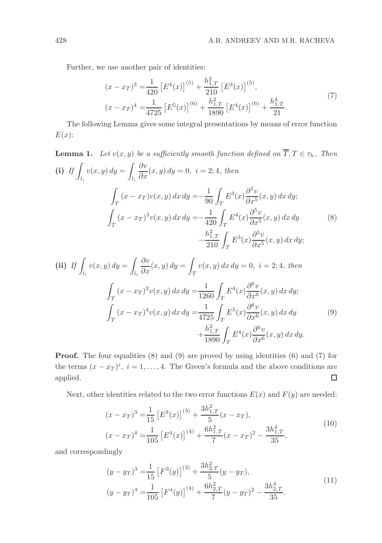Further, we use another pair of identities:

$$
(x - x_T)^3 = \frac{1}{420} \left[ E^4(x) \right]^{(5)} + \frac{h_{1,T}^2}{210} \left[ E^3(x) \right]^{(5)},
$$
  
\n
$$
(x - x_T)^4 = \frac{1}{4725} \left[ E^5(x) \right]^{(6)} + \frac{h_{1,T}^2}{1890} \left[ E^4(x) \right]^{(6)} + \frac{h_{1,T}^4}{21}.
$$
\n(7)

The following Lemma gives some integral presentations by means of error function  $E(x)$ :

**Lemma 1.** Let 
$$
v(x, y)
$$
 be a sufficiently smooth function defined on  $\overline{T}, T \in \tau_h$ . Then  
\n(i) If  $\int_{l_i} v(x, y) dy = \int_{l_i} \frac{\partial v}{\partial x}(x, y) dy = 0$ ,  $i = 2; 4$ , then  
\n
$$
\int_{T} (x - x_T)v(x, y) dx dy = -\frac{1}{90} \int_{T} E^3(x) \frac{\partial^5 v}{\partial x^5}(x, y) dx dy;
$$
\n
$$
\int_{T} (x - x_T)^3 v(x, y) dx dy = -\frac{1}{420} \int_{T} E^4(x) \frac{\partial^5 v}{\partial x^5}(x, y) dx dy
$$
\n
$$
-\frac{h_{1,T}^2}{210} \int_{T} E^3(x) \frac{\partial^5 v}{\partial x^5}(x, y) dx dy;
$$
\n(8)

(ii) If 
$$
\int_{l_i} v(x, y) dy = \int_{l_i} \frac{\partial v}{\partial x}(x, y) dy = \int_T v(x, y) dx dy = 0, i = 2; 4, then
$$
  

$$
\int_T (x - x_T)^2 v(x, y) dx dy = \frac{1}{1260} \int_T E^4(x) \frac{\partial^6 v}{\partial x^6}(x, y) dx dy;
$$

$$
\int_T (x - x_T)^4 v(x, y) dx dy = \frac{1}{4725} \int_T E^5(x) \frac{\partial^6 v}{\partial x^6}(x, y) dx dy
$$
(9)
$$
+ \frac{h_{1,T}^2}{1890} \int_T E^4(x) \frac{\partial^6 v}{\partial x^6}(x, y) dx dy.
$$

Proof. The four equalities (8) and (9) are proved by using identities (6) and (7) for the terms  $(x - x_T)^i$ ,  $i = 1, ..., 4$ . The Green's formula and the above conditions are applied.  $\Box$ 

Next, other identities related to the two error functions  $E(x)$  and  $F(y)$  are needed:

$$
(x - x_T)^3 = \frac{1}{15} \left[ E^3(x) \right]^{(3)} + \frac{3h_{1,T}^2}{5} (x - x_T),
$$
  
\n
$$
(x - x_T)^4 = \frac{1}{105} \left[ E^4(x) \right]^{(4)} + \frac{6h_{1,T}^2}{7} (x - x_T)^2 - \frac{3h_{1,T}^4}{35},
$$
\n(10)

and correspondingly

$$
(y - yT)3 = \frac{1}{15} [F3(y)](3) + \frac{3h2,T2}{5}(y - yT),
$$
  
\n
$$
(y - yT)4 = \frac{1}{105} [F4(y)](4) + \frac{6h2,T2}{7}(y - yT)2 - \frac{3h2,T4}{35}.
$$
\n(11)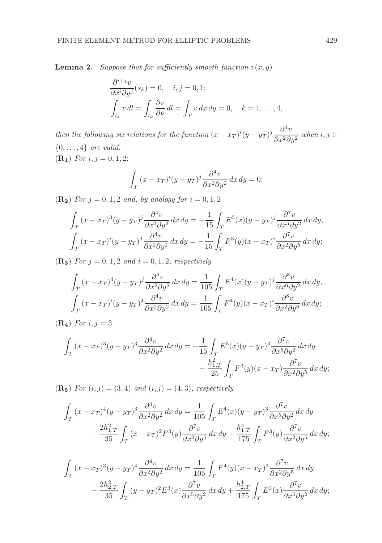**Lemma 2.** Suppose that for sufficiently smooth function  $v(x, y)$ 

$$
\frac{\partial^{i+j}v}{\partial x^{i}\partial y^{j}}(s_{k}) = 0, \quad i, j = 0, 1;
$$
  

$$
\int_{l_{k}} v dl = \int_{l_{k}} \frac{\partial v}{\partial \nu} dl = \int_{T} v dx dy = 0, \quad k = 1, ..., 4,
$$

then the following six relations for the function  $(x - x_T)^i (y - y_T)^j \frac{\partial^4 v}{\partial x^2 \partial y^2}$  $\frac{\partial^2 u}{\partial x^2 \partial y^2}$  when  $i, j \in$  $\{0, \ldots, 4\}$  are valid:  $({\bf R_1})$  For  $i, j = 0, 1, 2;$ 

 $= 0;$ 

$$
\int_T (x - x_T)^i (y - y_T)^j \frac{\partial^4 v}{\partial x^2 \partial y^2} dx dy
$$

(**R**<sub>2</sub>) For  $j = 0, 1, 2$  and, by analogy for  $i = 0, 1, 2$ 

$$
\int_{T} (x - x_T)^3 (y - y_T)^j \frac{\partial^4 v}{\partial x^2 \partial y^2} dx dy = -\frac{1}{15} \int_{T} E^3(x) (y - y_T)^j \frac{\partial^7 v}{\partial x^5 \partial y^2} dx dy,
$$
  

$$
\int_{T} (x - x_T)^i (y - y_T)^3 \frac{\partial^4 v}{\partial x^2 \partial y^2} dx dy = -\frac{1}{15} \int_{T} F^3(y) (x - x_T)^i \frac{\partial^7 v}{\partial x^2 \partial y^5} dx dy;
$$

(**R**<sub>3</sub>) For  $j = 0, 1, 2$  and  $i = 0, 1, 2$ , respectively

$$
\int_{T} (x - x_T)^4 (y - y_T)^j \frac{\partial^4 v}{\partial x^2 \partial y^2} dx dy = \frac{1}{105} \int_{T} E^4(x) (y - y_T)^j \frac{\partial^8 v}{\partial x^6 \partial y^2} dx dy,
$$
  

$$
\int_{T} (x - x_T)^i (y - y_T)^4 \frac{\partial^4 v}{\partial x^2 \partial y^2} dx dy = \frac{1}{105} \int_{T} F^4(y) (x - x_T)^i \frac{\partial^8 v}{\partial x^2 \partial y^6} dx dy;
$$

 $({\bf R_4})$  For  $i, j = 3$ 

$$
\int_T (x - x_T)^3 (y - y_T)^3 \frac{\partial^4 v}{\partial x^2 \partial y^2} dx dy = -\frac{1}{15} \int_T E^3(x) (y - y_T)^3 \frac{\partial^7 v}{\partial x^5 \partial y^2} dx dy
$$

$$
- \frac{h_{1,T}^2}{25} \int_T F^3(y) (x - x_T) \frac{\partial^7 v}{\partial x^2 \partial y^5} dx dy;
$$

(**R**<sub>5</sub>) For  $(i, j) = (3, 4)$  and  $(i, j) = (4, 3)$ , respectively

$$
\int_{T} (x - x_T)^4 (y - y_T)^3 \frac{\partial^4 v}{\partial x^2 \partial y^2} dx dy = \frac{1}{105} \int_{T} E^4(x) (y - y_T)^3 \frac{\partial^7 v}{\partial x^5 \partial y^2} dx dy
$$

$$
- \frac{2h_{1,T}^2}{35} \int_{T} (x - x_T)^2 F^3(y) \frac{\partial^7 v}{\partial x^2 \partial y^5} dx dy + \frac{h_{1,T}^4}{175} \int_{T} F^3(y) \frac{\partial^7 v}{\partial x^2 \partial y^5} dx dy;
$$

$$
\int_{T} (x - x_T)^3 (y - y_T)^4 \frac{\partial^4 v}{\partial x^2 \partial y^2} dx dy = \frac{1}{105} \int_{T} F^4(y) (x - x_T)^3 \frac{\partial^7 v}{\partial x^2 \partial y^5} dx dy
$$

$$
- \frac{2h_{2,T}^2}{35} \int_{T} (y - y_T)^2 E^3(x) \frac{\partial^7 v}{\partial x^5 \partial y^2} dx dy + \frac{h_{2,T}^4}{175} \int_{T} E^3(x) \frac{\partial^7 v}{\partial x^5 \partial y^2} dx dy;
$$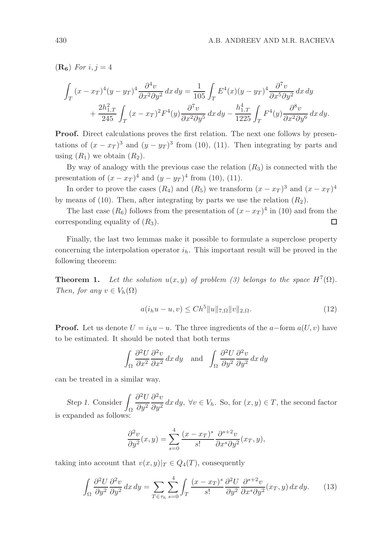$(\mathbf{R}_{\mathbf{6}})$  For  $i, j = 4$ 

$$
\int_T (x - x_T)^4 (y - y_T)^4 \frac{\partial^4 v}{\partial x^2 \partial y^2} dx dy = \frac{1}{105} \int_T E^4(x) (y - y_T)^4 \frac{\partial^7 v}{\partial x^5 \partial y^2} dx dy
$$

$$
+ \frac{2h_{1,T}^2}{245} \int_T (x - x_T)^2 F^4(y) \frac{\partial^7 v}{\partial x^2 \partial y^5} dx dy - \frac{h_{1,T}^4}{1225} \int_T F^4(y) \frac{\partial^8 v}{\partial x^2 \partial y^6} dx dy.
$$

Proof. Direct calculations proves the first relation. The next one follows by presentations of  $(x - x_T)^3$  and  $(y - y_T)^3$  from (10), (11). Then integrating by parts and using  $(R_1)$  we obtain  $(R_2)$ .

By way of analogy with the previous case the relation  $(R_3)$  is connected with the presentation of  $(x - x_T)^4$  and  $(y - y_T)^4$  from (10), (11).

In order to prove the cases  $(R_4)$  and  $(R_5)$  we transform  $(x - x_T)^3$  and  $(x - x_T)^4$ by means of (10). Then, after integrating by parts we use the relation  $(R_2)$ .

The last case  $(R_6)$  follows from the presentation of  $(x - x_T)^4$  in (10) and from the corresponding equality of  $(R_3)$ . □

Finally, the last two lemmas make it possible to formulate a superclose property concerning the interpolation operator  $i_h$ . This important result will be proved in the following theorem:

**Theorem 1.** Let the solution  $u(x, y)$  of problem (3) belongs to the space  $H^7(\Omega)$ . Then, for any  $v \in V_h(\Omega)$ 

$$
a(i_h u - u, v) \le Ch^5 \|u\|_{7,\Omega} \|v\|_{2,\Omega}.
$$
\n(12)

**Proof.** Let us denote  $U = i_h u - u$ . The three ingredients of the a–form  $a(U, v)$  have to be estimated. It should be noted that both terms

$$
\int_{\Omega} \frac{\partial^2 U}{\partial x^2} \frac{\partial^2 v}{\partial x^2} dx dy \quad \text{and} \quad \int_{\Omega} \frac{\partial^2 U}{\partial y^2} \frac{\partial^2 v}{\partial y^2} dx dy
$$

can be treated in a similar way.

Step 1. Consider Ω  $\partial^2 U$  $\partial y^2$  $\partial^2 v$  $\frac{\partial^2}{\partial y^2} dx dy$ ,  $\forall v \in V_h$ . So, for  $(x, y) \in T$ , the second factor is expanded as follows:

$$
\frac{\partial^2 v}{\partial y^2}(x, y) = \sum_{s=0}^4 \frac{(x - x_T)^s}{s!} \frac{\partial^{s+2} v}{\partial x^s \partial y^2}(x_T, y),
$$

taking into account that  $v(x, y)|_T \in Q_4(T)$ , consequently

$$
\int_{\Omega} \frac{\partial^2 U}{\partial y^2} \frac{\partial^2 v}{\partial y^2} dx dy = \sum_{T \in \tau_h} \sum_{s=0}^4 \int_T \frac{(x - x_T)^s}{s!} \frac{\partial^2 U}{\partial y^2} \frac{\partial^{s+2} v}{\partial x^s \partial y^2} (x_T, y) dx dy.
$$
 (13)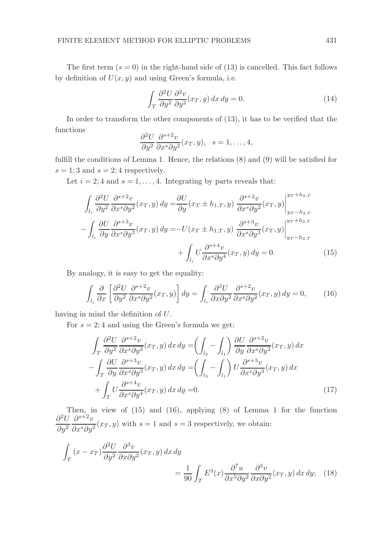The first term  $(s = 0)$  in the right-hand side of (13) is cancelled. This fact follows by definition of  $U(x, y)$  and using Green's formula, i.e.

$$
\int_{T} \frac{\partial^2 U}{\partial y^2} \frac{\partial^2 v}{\partial y^2} (x_T, y) \, dx \, dy = 0. \tag{14}
$$

In order to transform the other components of (13), it has to be verified that the functions

$$
\frac{\partial^2 U}{\partial y^2} \frac{\partial^{s+2} v}{\partial x^s \partial y^2} (x_T, y), \quad s = 1, \dots, 4,
$$

fulfill the conditions of Lemma 1. Hence, the relations (8) and (9) will be satisfied for  $s = 1; 3$  and  $s = 2; 4$  respectively.

Let  $i = 2, 4$  and  $s = 1, \ldots, 4$ . Integrating by parts reveals that:

$$
\int_{l_i} \frac{\partial^2 U}{\partial y^2} \frac{\partial^{s+2} v}{\partial x^s \partial y^2} (x_T, y) dy = \frac{\partial U}{\partial y} (x_T \pm h_{1,T}, y) \left. \frac{\partial^{s+2} v}{\partial x^s \partial y^2} (x_T, y) \right|_{y_T - h_{2,T}}^{y_T + h_{2,T}}
$$

$$
- \int_{l_i} \frac{\partial U}{\partial y} \frac{\partial^{s+3} v}{\partial x^s \partial y^3} (x_T, y) dy = -U(x_T \pm h_{1,T}, y) \left. \frac{\partial^{s+3} v}{\partial x^s \partial y^3} (x_T, y) \right|_{y_T - h_{2,T}}^{y_T + h_{2,T}}
$$

$$
+ \int_{l_i} U \frac{\partial^{s+4} v}{\partial x^s \partial y^4} (x_T, y) dy = 0. \tag{15}
$$

By analogy, it is easy to get the equality:

$$
\int_{l_i} \frac{\partial}{\partial x} \left[ \frac{\partial^2 U}{\partial y^2} \frac{\partial^{s+2} v}{\partial x^s \partial y^2} (x_T, y) \right] dy = \int_{l_i} \frac{\partial^3 U}{\partial x \partial y^2} \frac{\partial^{s+2} v}{\partial x^s \partial y^2} (x_T, y) dy = 0, \quad (16)
$$

having in mind the definition of U.

For  $s = 2$ ; 4 and using the Green's formula we get:

$$
\int_{T} \frac{\partial^{2}U}{\partial y^{2}} \frac{\partial^{s+2}v}{\partial x^{s} \partial y^{2}}(x_{T}, y) dx dy = \left(\int_{l_{3}} - \int_{l_{1}}\right) \frac{\partial U}{\partial y} \frac{\partial^{s+2}v}{\partial x^{s} \partial y^{2}}(x_{T}, y) dx \n- \int_{T} \frac{\partial U}{\partial y} \frac{\partial^{s+3}v}{\partial x^{s} \partial y^{3}}(x_{T}, y) dx dy = \left(\int_{l_{3}} - \int_{l_{1}}\right) U \frac{\partial^{s+3}v}{\partial x^{s} \partial y^{3}}(x_{T}, y) dx \n+ \int_{T} U \frac{\partial^{s+4}v}{\partial x^{s} \partial y^{4}}(x_{T}, y) dx dy = 0.
$$
\n(17)

Then, in view of (15) and (16), applying (8) of Lemma 1 for the function  $\partial^2 U$  $\partial y^2$  $\partial^{s+2}v$  $\frac{\partial}{\partial x^s \partial y^2}(x_T, y)$  with  $s = 1$  and  $s = 3$  respectively, we obtain:

$$
\int_{T} (x - x_{T}) \frac{\partial^{2} U}{\partial y^{2}} \frac{\partial^{3} v}{\partial x \partial y^{2}} (x_{T}, y) dx dy
$$
\n
$$
= \frac{1}{90} \int_{T} E^{3}(x) \frac{\partial^{7} u}{\partial x^{5} \partial y^{2}} \frac{\partial^{3} v}{\partial x \partial y^{2}} (x_{T}, y) dx dy; \quad (18)
$$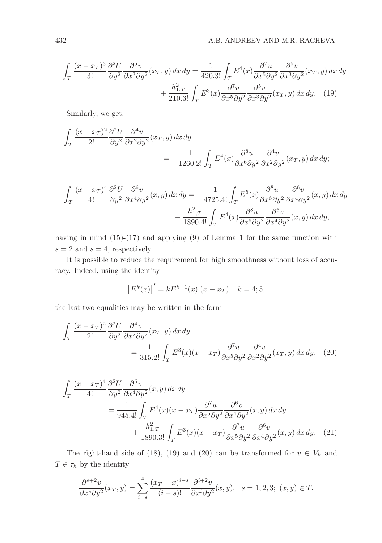$$
\int_{T} \frac{(x - x_T)^3}{3!} \frac{\partial^2 U}{\partial y^2} \frac{\partial^5 v}{\partial x^3 \partial y^2} (x_T, y) dx dy = \frac{1}{420.3!} \int_{T} E^4(x) \frac{\partial^7 u}{\partial x^5 \partial y^2} \frac{\partial^5 v}{\partial x^3 \partial y^2} (x_T, y) dx dy + \frac{h_{1,T}^2}{210.3!} \int_{T} E^3(x) \frac{\partial^7 u}{\partial x^5 \partial y^2} \frac{\partial^5 v}{\partial x^3 \partial y^2} (x_T, y) dx dy.
$$
 (19)

Similarly, we get:

$$
\int_{T} \frac{(x - x_T)^2}{2!} \frac{\partial^2 U}{\partial y^2} \frac{\partial^4 v}{\partial x^2 \partial y^2} (x_T, y) dx dy
$$
  
= 
$$
-\frac{1}{1260.2!} \int_{T} E^4(x) \frac{\partial^8 u}{\partial x^6 \partial y^2} \frac{\partial^4 v}{\partial x^2 \partial y^2} (x_T, y) dx dy;
$$

$$
\int_{T} \frac{(x - x_T)^4}{4!} \frac{\partial^2 U}{\partial y^2} \frac{\partial^6 v}{\partial x^4 \partial y^2}(x, y) dx dy = -\frac{1}{4725.4!} \int_{T} E^5(x) \frac{\partial^8 u}{\partial x^6 \partial y^2} \frac{\partial^6 v}{\partial x^4 \partial y^2}(x, y) dx dy \n- \frac{h_{1,T}^2}{1890.4!} \int_{T} E^4(x) \frac{\partial^8 u}{\partial x^6 \partial y^2} \frac{\partial^6 v}{\partial x^4 \partial y^2}(x, y) dx dy,
$$

having in mind (15)-(17) and applying (9) of Lemma 1 for the same function with  $s = 2$  and  $s = 4$ , respectively.

It is possible to reduce the requirement for high smoothness without loss of accuracy. Indeed, using the identity

$$
[E^k(x)]' = kE^{k-1}(x).(x - x_T), \quad k = 4; 5,
$$

the last two equalities may be written in the form

$$
\int_{T} \frac{(x - x_T)^2}{2!} \frac{\partial^2 U}{\partial y^2} \frac{\partial^4 v}{\partial x^2 \partial y^2} (x_T, y) dx dy
$$
\n
$$
= \frac{1}{315.2!} \int_{T} E^3(x) (x - x_T) \frac{\partial^7 u}{\partial x^5 \partial y^2} \frac{\partial^4 v}{\partial x^2 \partial y^2} (x_T, y) dx dy; \quad (20)
$$

$$
\int_{T} \frac{(x - x_T)^4}{4!} \frac{\partial^2 U}{\partial y^2} \frac{\partial^6 v}{\partial x^4 \partial y^2}(x, y) dx dy
$$
\n
$$
= \frac{1}{945.4!} \int_{T} E^4(x)(x - x_T) \frac{\partial^7 u}{\partial x^5 \partial y^2} \frac{\partial^6 v}{\partial x^4 \partial y^2}(x, y) dx dy
$$
\n
$$
+ \frac{h_{1,T}^2}{1890.3!} \int_{T} E^3(x)(x - x_T) \frac{\partial^7 u}{\partial x^5 \partial y^2} \frac{\partial^6 v}{\partial x^4 \partial y^2}(x, y) dx dy. \quad (21)
$$

The right-hand side of (18), (19) and (20) can be transformed for  $v \in V_h$  and  $T \in \tau_h$  by the identity

$$
\frac{\partial^{s+2}v}{\partial x^s \partial y^2}(x_T, y) = \sum_{i=s}^4 \frac{(x_T - x)^{i-s}}{(i-s)!} \frac{\partial^{i+2}v}{\partial x^i \partial y^2}(x, y), \quad s = 1, 2, 3; \ (x, y) \in T.
$$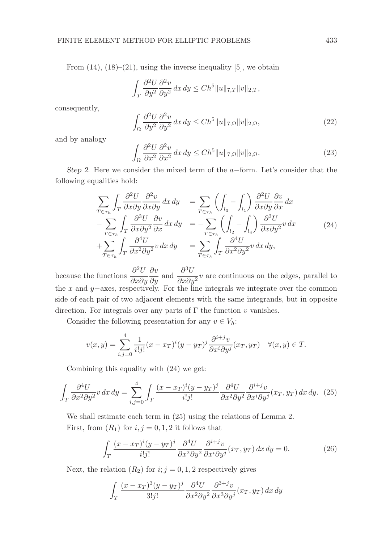From  $(14)$ ,  $(18)$ – $(21)$ , using the inverse inequality [5], we obtain

$$
\int_T \frac{\partial^2 U}{\partial y^2} \frac{\partial^2 v}{\partial y^2} dx dy \le C h^5 ||u||_{7,T} ||v||_{2,T},
$$

consequently,

$$
\int_{\Omega} \frac{\partial^2 U}{\partial y^2} \frac{\partial^2 v}{\partial y^2} dx dy \le C h^5 \|u\|_{7,\Omega} \|v\|_{2,\Omega},\tag{22}
$$

and by analogy

$$
\int_{\Omega} \frac{\partial^2 U}{\partial x^2} \frac{\partial^2 v}{\partial x^2} dx dy \le C h^5 \|u\|_{7,\Omega} \|v\|_{2,\Omega}.
$$
 (23)

Step 2. Here we consider the mixed term of the  $a$ -form. Let's consider that the following equalities hold:

$$
\sum_{T \in \tau_h} \int_T \frac{\partial^2 U}{\partial x \partial y} \frac{\partial^2 v}{\partial x \partial y} dx dy = \sum_{T \in \tau_h} \left( \int_{l_3} - \int_{l_1} \right) \frac{\partial^2 U}{\partial x \partial y} \frac{\partial v}{\partial x} dx \n- \sum_{T \in \tau_h} \int_T \frac{\partial^3 U}{\partial x \partial y^2} \frac{\partial v}{\partial x} dx dy = - \sum_{T \in \tau_h} \left( \int_{l_2} - \int_{l_4} \right) \frac{\partial^3 U}{\partial x \partial y^2} v dx \n+ \sum_{T \in \tau_h} \int_T \frac{\partial^4 U}{\partial x^2 \partial y^2} v dx dy = \sum_{T \in \tau_h} \int_T \frac{\partial^4 U}{\partial x^2 \partial y^2} v dx dy,
$$
\n(24)

because the functions  $\frac{\partial^2 U}{\partial x \partial y}$ ∂x∂y  $\frac{\partial v}{\partial y}$  and  $\frac{\partial^3 U}{\partial x \partial y}$  $\frac{\partial^2}{\partial x \partial y^2} v$  are continuous on the edges, parallel to the x and y–axes, respectively. For the line integrals we integrate over the common side of each pair of two adjacent elements with the same integrands, but in opposite direction. For integrals over any parts of  $\Gamma$  the function v vanishes.

Consider the following presentation for any  $v \in V_h$ :

$$
v(x,y) = \sum_{i,j=0}^{4} \frac{1}{i!j!} (x - x_T)^i (y - y_T)^j \frac{\partial^{i+j} v}{\partial x^i \partial y^j} (x_T, y_T) \quad \forall (x, y) \in T.
$$

Combining this equality with (24) we get:

$$
\int_{T} \frac{\partial^{4} U}{\partial x^{2} \partial y^{2}} v \, dx \, dy = \sum_{i,j=0}^{4} \int_{T} \frac{(x - x_{T})^{i} (y - y_{T})^{j}}{i! j!} \frac{\partial^{4} U}{\partial x^{2} \partial y^{2}} \frac{\partial^{i+j} v}{\partial x^{i} \partial y^{j}} (x_{T}, y_{T}) \, dx \, dy. \tag{25}
$$

We shall estimate each term in (25) using the relations of Lemma 2. First, from  $(R_1)$  for  $i, j = 0, 1, 2$  it follows that

$$
\int_{T} \frac{(x - x_T)^i (y - y_T)^j}{i! j!} \frac{\partial^4 U}{\partial x^2 \partial y^2} \frac{\partial^{i+j} v}{\partial x^i \partial y^j} (x_T, y_T) dx dy = 0.
$$
 (26)

Next, the relation  $(R_2)$  for  $i; j = 0, 1, 2$  respectively gives

$$
\int_{T} \frac{(x - x_T)^3 (y - y_T)^j}{3! j!} \frac{\partial^4 U}{\partial x^2 \partial y^2} \frac{\partial^{3+j} v}{\partial x^3 \partial y^j} (x_T, y_T) dx dy
$$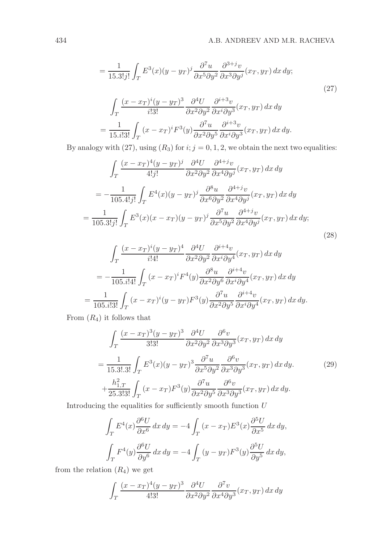$$
= \frac{1}{15.3!j!} \int_{T} E^{3}(x)(y - y_{T})^{j} \frac{\partial^{7} u}{\partial x^{5} \partial y^{2}} \frac{\partial^{3+j} v}{\partial x^{3} \partial y^{j}}(x_{T}, y_{T}) dx dy;
$$
\n
$$
\int_{T} \frac{(x - x_{T})^{i}(y - y_{T})^{3}}{i!3!} \frac{\partial^{4} U}{\partial x^{2} \partial y^{2}} \frac{\partial^{i+3} v}{\partial x^{i} \partial y^{3}}(x_{T}, y_{T}) dx dy
$$
\n
$$
= \frac{1}{15.3!3!} \int_{T} (x - x_{T})^{i} F^{3}(y) \frac{\partial^{7} u}{\partial x^{2} \partial y^{5}} \frac{\partial^{i+3} v}{\partial x^{i} \partial y^{3}}(x_{T}, y_{T}) dx dy.
$$
\n(27)

By analogy with (27), using  $(R_3)$  for  $i; j = 0, 1, 2$ , we obtain the next two equalities:

$$
\int_{T} \frac{(x - x_T)^4 (y - y_T)^j}{4! j!} \frac{\partial^4 U}{\partial x^2 \partial y^2} \frac{\partial^{4+j} v}{\partial x^4 \partial y^j} (x_T, y_T) dx dy
$$

$$
= -\frac{1}{105.4! j!} \int_{T} E^4(x) (y - y_T)^j \frac{\partial^8 u}{\partial x^6 \partial y^2} \frac{\partial^{4+j} v}{\partial x^4 \partial y^j} (x_T, y_T) dx dy
$$

$$
= \frac{1}{105.3! j!} \int_{T} E^3(x) (x - x_T) (y - y_T)^j \frac{\partial^7 u}{\partial x^5 \partial y^2} \frac{\partial^{4+j} v}{\partial x^4 \partial y^j} (x_T, y_T) dx dy;
$$
(28)

$$
\int_{T} \frac{(x - x_T)^i (y - y_T)^4}{i!4!} \frac{\partial^4 U}{\partial x^2 \partial y^2} \frac{\partial^{i+4} v}{\partial x^i \partial y^4} (x_T, y_T) dx dy
$$

$$
= -\frac{1}{105. i!4!} \int_{T} (x - x_T)^i F^4(y) \frac{\partial^8 u}{\partial x^2 \partial y^6} \frac{\partial^{i+4} v}{\partial x^i \partial y^4} (x_T, y_T) dx dy
$$

$$
= \frac{1}{105. i!3!} \int_{T} (x - x_T)^i (y - y_T) F^3(y) \frac{\partial^7 u}{\partial x^2 \partial y^5} \frac{\partial^{i+4} v}{\partial x^i \partial y^4} (x_T, y_T) dx dy.
$$

From  $(R_4)$  it follows that

$$
\int_{T} \frac{(x - x_T)^3 (y - y_T)^3}{3!3!} \frac{\partial^4 U}{\partial x^2 \partial y^2} \frac{\partial^6 v}{\partial x^3 \partial y^3} (x_T, y_T) dx dy
$$
\n
$$
= \frac{1}{15.3!.3!} \int_{T} E^3(x) (y - y_T)^3 \frac{\partial^7 u}{\partial x^5 \partial y^2} \frac{\partial^6 v}{\partial x^3 \partial y^3} (x_T, y_T) dx dy.
$$
\n
$$
+ \frac{h_{1,T}^2}{25.3!3!} \int_{T} (x - x_T) F^3(y) \frac{\partial^7 u}{\partial x^2 \partial y^5} \frac{\partial^6 v}{\partial x^3 \partial y^3} (x_T, y_T) dx dy.
$$
\n(29)

Introducing the equalities for sufficiently smooth function  $U$ 

$$
\int_{T} E^{4}(x) \frac{\partial^{6} U}{\partial x^{6}} dx dy = -4 \int_{T} (x - x_{T}) E^{3}(x) \frac{\partial^{5} U}{\partial x^{5}} dx dy,
$$
  

$$
\int_{T} F^{4}(y) \frac{\partial^{6} U}{\partial y^{6}} dx dy = -4 \int_{T} (y - y_{T}) F^{3}(y) \frac{\partial^{5} U}{\partial y^{5}} dx dy,
$$

from the relation  $(R_4)$  we get

$$
\int_T \frac{(x - x_T)^4 (y - y_T)^3}{4!3!} \frac{\partial^4 U}{\partial x^2 \partial y^2} \frac{\partial^7 v}{\partial x^4 \partial y^3} (x_T, y_T) dx dy
$$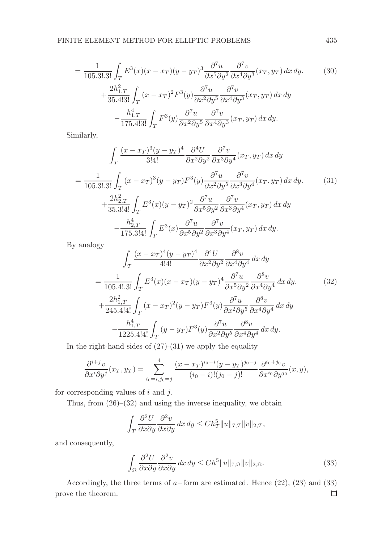$$
= \frac{1}{105.3! \cdot 3!} \int_{T} E^{3}(x)(x - x_{T})(y - y_{T})^{3} \frac{\partial^{7} u}{\partial x^{5} \partial y^{2}} \frac{\partial^{7} v}{\partial x^{4} \partial y^{3}}(x_{T}, y_{T}) dx dy.
$$
\n
$$
+ \frac{2h_{1,T}^{2}}{35.4! \cdot 3!} \int_{T} (x - x_{T})^{2} F^{3}(y) \frac{\partial^{7} u}{\partial x^{2} \partial y^{5}} \frac{\partial^{7} v}{\partial x^{4} \partial y^{3}}(x_{T}, y_{T}) dx dy
$$
\n
$$
- \frac{h_{1,T}^{4}}{175.4! \cdot 3!} \int_{T} F^{3}(y) \frac{\partial^{7} u}{\partial x^{2} \partial y^{5}} \frac{\partial^{7} v}{\partial x^{4} \partial y^{3}}(x_{T}, y_{T}) dx dy.
$$
\n(30)

Similarly,

$$
\int_{T} \frac{(x - x_T)^3 (y - y_T)^4}{3!4!} \frac{\partial^4 U}{\partial x^2 \partial y^2} \frac{\partial^7 v}{\partial x^3 \partial y^4} (x_T, y_T) dx dy
$$
\n
$$
= \frac{1}{105.3!.3!} \int_{T} (x - x_T)^3 (y - y_T) F^3(y) \frac{\partial^7 u}{\partial x^2 \partial y^5} \frac{\partial^7 v}{\partial x^3 \partial y^4} (x_T, y_T) dx dy.
$$
\n
$$
+ \frac{2h_{2,T}^2}{35.3!4!} \int_{T} E^3(x) (y - y_T)^2 \frac{\partial^7 u}{\partial x^5 \partial y^2} \frac{\partial^7 v}{\partial x^3 \partial y^4} (x_T, y_T) dx dy
$$
\n
$$
- \frac{h_{2,T}^4}{175.3!4!} \int_{T} E^3(x) \frac{\partial^7 u}{\partial x^5 \partial y^2} \frac{\partial^7 v}{\partial x^3 \partial y^4} (x_T, y_T) dx dy.
$$
\n(31)

By analogy

$$
\int_{T} \frac{(x - x_T)^4 (y - y_T)^4}{4!4!} \frac{\partial^4 U}{\partial x^2 \partial y^2} \frac{\partial^8 v}{\partial x^4 \partial y^4} dx dy
$$
\n
$$
= \frac{1}{105.4!.3!} \int_{T} E^3(x)(x - x_T)(y - y_T)^4 \frac{\partial^7 u}{\partial x^5 \partial y^2} \frac{\partial^8 v}{\partial x^4 \partial y^4} dx dy.
$$
\n
$$
+ \frac{2h_{1,T}^2}{245.4!4!} \int_{T} (x - x_T)^2 (y - y_T) F^3(y) \frac{\partial^7 u}{\partial x^2 \partial y^5} \frac{\partial^8 v}{\partial x^4 \partial y^4} dx dy
$$
\n
$$
- \frac{h_{1,T}^4}{1225.4!4!} \int_{T} (y - y_T) F^3(y) \frac{\partial^7 u}{\partial x^2 \partial y^5} \frac{\partial^8 v}{\partial x^4 \partial y^4} dx dy.
$$
\n
$$
(32)
$$

In the right-hand sides of  $(27)-(31)$  we apply the equality

$$
\frac{\partial^{i+j}v}{\partial x^{i}\partial y^{j}}(x_{T},y_{T})=\sum_{i_{0}=i,j_{0}=j}^{4}\frac{(x-x_{T})^{i_{0}-i}(y-y_{T})^{j_{0}-j}}{(i_{0}-i)!(j_{0}-j)!}\frac{\partial^{i_{0}+j_{0}}v}{\partial x^{i_{0}}\partial y^{j_{0}}}(x,y),
$$

for corresponding values of  $i$  and  $j$ .

Thus, from (26)–(32) and using the inverse inequality, we obtain

$$
\int_T \frac{\partial^2 U}{\partial x \partial y} \frac{\partial^2 v}{\partial x \partial y} dx dy \le C h_T^5 ||u||_{7,T} ||v||_{2,T},
$$

and consequently,

$$
\int_{\Omega} \frac{\partial^2 U}{\partial x \partial y} \frac{\partial^2 v}{\partial x \partial y} dx dy \le C h^5 \|u\|_{7,\Omega} \|v\|_{2,\Omega}.
$$
\n(33)

Accordingly, the three terms of a–form are estimated. Hence (22), (23) and (33) ove the theorem. prove the theorem.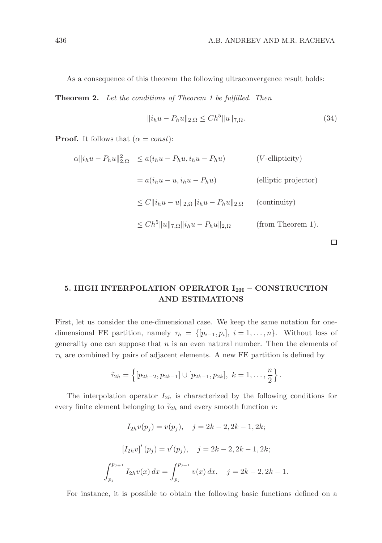As a consequence of this theorem the following ultraconvergence result holds:

Theorem 2. Let the conditions of Theorem 1 be fulfilled. Then

$$
||i_h u - P_h u||_{2,\Omega} \le Ch^5 ||u||_{7,\Omega}.
$$
\n(34)

**Proof.** It follows that  $(\alpha = const)$ :

$$
\alpha ||i_h u - P_h u||_{2,\Omega}^2 \le a(i_h u - P_h u, i_h u - P_h u)
$$
 (*V*-ellipticity)  
=  $a(i_h u - u, i_h u - P_h u)$  (elliptic projector)  

$$
\le C ||i_h u - u||_{2,\Omega} ||i_h u - P_h u||_{2,\Omega}
$$
 (continuity)  

$$
\le C h^5 ||u||_{7,\Omega} ||i_h u - P_h u||_{2,\Omega}
$$
 (from Theorem 1).

 $\Box$ 

# 5. HIGH INTERPOLATION OPERATOR  $I_{2H}$  – CONSTRUCTION AND ESTIMATIONS

First, let us consider the one-dimensional case. We keep the same notation for onedimensional FE partition, namely  $\tau_h = \{ [p_{i-1}, p_i], i = 1, ..., n \}$ . Without loss of generality one can suppose that  $n$  is an even natural number. Then the elements of  $\tau_h$  are combined by pairs of adjacent elements. A new FE partition is defined by

$$
\widetilde{\tau}_{2h} = \left\{ [p_{2k-2}, p_{2k-1}] \cup [p_{2k-1}, p_{2k}], k = 1, \ldots, \frac{n}{2} \right\}.
$$

The interpolation operator  $I_{2h}$  is characterized by the following conditions for every finite element belonging to  $\tilde{\tau}_{2h}$  and every smooth function v:

$$
I_{2h}v(p_j) = v(p_j), \quad j = 2k - 2, 2k - 1, 2k;
$$
  

$$
[I_{2h}v]'(p_j) = v'(p_j), \quad j = 2k - 2, 2k - 1, 2k;
$$
  

$$
\int_{p_j}^{p_{j+1}} I_{2h}v(x) dx = \int_{p_j}^{p_{j+1}} v(x) dx, \quad j = 2k - 2, 2k - 1.
$$

For instance, it is possible to obtain the following basic functions defined on a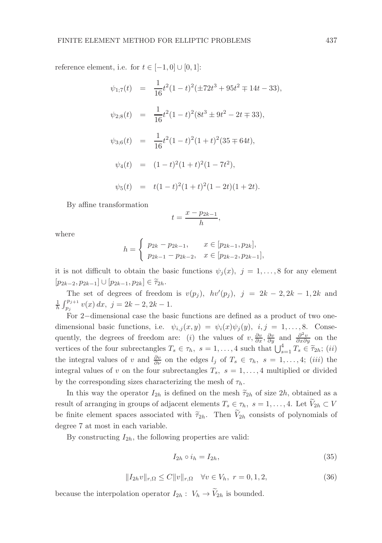reference element, i.e. for  $t \in [-1,0] \cup [0,1]$ :

$$
\psi_{1;7}(t) = \frac{1}{16}t^2(1-t)^2(\pm 72t^3 + 95t^2 \mp 14t - 33),
$$
  
\n
$$
\psi_{2;8}(t) = \frac{1}{16}t^2(1-t)^2(8t^3 \pm 9t^2 - 2t \mp 33),
$$
  
\n
$$
\psi_{3;6}(t) = \frac{1}{16}t^2(1-t)^2(1+t)^2(35 \mp 64t),
$$
  
\n
$$
\psi_4(t) = (1-t)^2(1+t)^2(1-7t^2),
$$
  
\n
$$
\psi_5(t) = t(1-t)^2(1+t)^2(1-2t)(1+2t).
$$

By affine transformation

$$
t = \frac{x - p_{2k-1}}{h},
$$

where

$$
h = \begin{cases} p_{2k} - p_{2k-1}, & x \in [p_{2k-1}, p_{2k}], \\ p_{2k-1} - p_{2k-2}, & x \in [p_{2k-2}, p_{2k-1}], \end{cases}
$$

it is not difficult to obtain the basic functions  $\psi_j(x)$ ,  $j = 1, \ldots, 8$  for any element  $[p_{2k-2}, p_{2k-1}] \cup [p_{2k-1}, p_{2k}] \in \widetilde{\tau}_{2h}.$ 

The set of degrees of freedom is  $v(p_j)$ ,  $hv'(p_j)$ ,  $j = 2k - 2, 2k - 1, 2k$  and  $\frac{1}{h} \int_{p_j}^{p_{j+1}} v(x) dx$ ,  $j = 2k - 2, 2k - 1$ .

For 2−dimensional case the basic functions are defined as a product of two onedimensional basic functions, i.e.  $\psi_{i,j}(x, y) = \psi_i(x)\psi_j(y), i, j = 1, \ldots, 8$ . Consequently, the degrees of freedom are: (i) the values of  $v, \frac{\partial v}{\partial x}, \frac{\partial v}{\partial y}$  and  $\frac{\partial^2 v}{\partial x \partial y}$  on the vertices of the four subrectangles  $T_s \in \tau_h$ ,  $s = 1, ..., 4$  such that  $\bigcup_{s=1}^4 T_s \in \tilde{\tau}_{2h}$ ; *(ii)* the integral values of v and  $\frac{\partial v}{\partial \nu}$  on the edges  $l_j$  of  $T_s \in \tau_h$ ,  $s = 1, \ldots, 4$ ; (iii) the integral values of v on the four subrectangles  $T_s$ ,  $s = 1, \ldots, 4$  multiplied or divided by the corresponding sizes characterizing the mesh of  $\tau_h$ .

In this way the operator  $I_{2h}$  is defined on the mesh  $\tilde{\tau}_{2h}$  of size  $2h$ , obtained as a result of arranging in groups of adjacent elements  $T_s \in \tau_h$ ,  $s = 1, \ldots, 4$ . Let  $\widetilde{V}_{2h} \subset V$ be finite element spaces associated with  $\tilde{\tau}_{2h}$ . Then  $\tilde{V}_{2h}$  consists of polynomials of degree 7 at most in each variable.

By constructing  $I_{2h}$ , the following properties are valid:

$$
I_{2h} \circ i_h = I_{2h},\tag{35}
$$

$$
||I_{2h}v||_{r,\Omega} \le C||v||_{r,\Omega} \quad \forall v \in V_h, \ r = 0, 1, 2,
$$
\n(36)

because the interpolation operator  $I_{2h}: V_h \to \widetilde{V}_{2h}$  is bounded.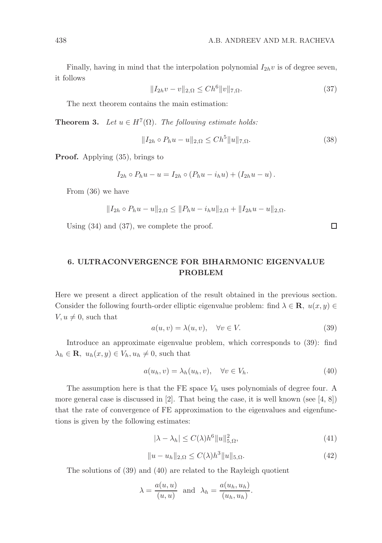□

Finally, having in mind that the interpolation polynomial  $I_{2h}v$  is of degree seven, it follows

$$
||I_{2h}v - v||_{2,\Omega} \le Ch^6 ||v||_{7,\Omega}.
$$
\n(37)

The next theorem contains the main estimation:

**Theorem 3.** Let  $u \in H^7(\Omega)$ . The following estimate holds:

$$
||I_{2h} \circ P_h u - u||_{2,\Omega} \le Ch^5 ||u||_{7,\Omega}.
$$
\n(38)

Proof. Applying (35), brings to

$$
I_{2h} \circ P_h u - u = I_{2h} \circ (P_h u - i_h u) + (I_{2h} u - u).
$$

From (36) we have

$$
||I_{2h} \circ P_h u - u||_{2,\Omega} \le ||P_h u - i_h u||_{2,\Omega} + ||I_{2h} u - u||_{2,\Omega}.
$$

Using (34) and (37), we complete the proof.

# 6. ULTRACONVERGENCE FOR BIHARMONIC EIGENVALUE PROBLEM

Here we present a direct application of the result obtained in the previous section. Consider the following fourth-order elliptic eigenvalue problem: find  $\lambda \in \mathbf{R}$ ,  $u(x, y) \in$  $V, u \neq 0$ , such that

$$
a(u, v) = \lambda(u, v), \quad \forall v \in V.
$$
\n(39)

Introduce an approximate eigenvalue problem, which corresponds to (39): find  $\lambda_h \in \mathbf{R}, u_h(x, y) \in V_h, u_h \neq 0$ , such that

$$
a(u_h, v) = \lambda_h(u_h, v), \quad \forall v \in V_h.
$$
\n
$$
(40)
$$

The assumption here is that the FE space  $V_h$  uses polynomials of degree four. A more general case is discussed in  $[2]$ . That being the case, it is well known (see  $[4, 8]$ ) that the rate of convergence of FE approximation to the eigenvalues and eigenfunctions is given by the following estimates:

$$
|\lambda - \lambda_h| \le C(\lambda) h^6 \|u\|_{5,\Omega}^2,\tag{41}
$$

$$
||u - u_h||_{2,\Omega} \le C(\lambda) h^3 ||u||_{5,\Omega}.
$$
\n(42)

The solutions of (39) and (40) are related to the Rayleigh quotient

$$
\lambda = \frac{a(u, u)}{(u, u)}
$$
 and  $\lambda_h = \frac{a(u_h, u_h)}{(u_h, u_h)}$ .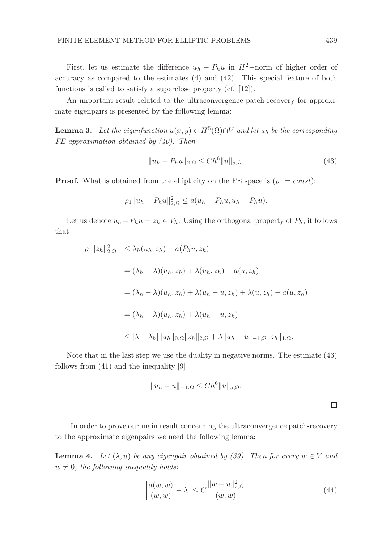First, let us estimate the difference  $u_h - P_h u$  in  $H^2$ -norm of higher order of accuracy as compared to the estimates (4) and (42). This special feature of both functions is called to satisfy a superclose property (cf. [12]).

An important result related to the ultraconvergence patch-recovery for approximate eigenpairs is presented by the following lemma:

**Lemma 3.** Let the eigenfunction  $u(x, y) \in H^5(\Omega) \cap V$  and let  $u_h$  be the corresponding FE approximation obtained by  $(40)$ . Then

$$
||u_h - P_h u||_{2,\Omega} \le Ch^6 ||u||_{5,\Omega}.
$$
\n(43)

**Proof.** What is obtained from the ellipticity on the FE space is  $(\rho_1 = const)$ :

$$
\rho_1 \|u_h - P_hu\|_{2,\Omega}^2 \le a(u_h - P_hu, u_h - P_hu).
$$

Let us denote  $u_h - P_h u = z_h \in V_h$ . Using the orthogonal property of  $P_h$ , it follows that

$$
\rho_1 ||z_h||_{2,\Omega}^2 \leq \lambda_h(u_h, z_h) - a(P_h u, z_h)
$$
  
=  $(\lambda_h - \lambda)(u_h, z_h) + \lambda(u_h, z_h) - a(u, z_h)$   
=  $(\lambda_h - \lambda)(u_h, z_h) + \lambda(u_h - u, z_h) + \lambda(u, z_h) - a(u, z_h)$   
=  $(\lambda_h - \lambda)(u_h, z_h) + \lambda(u_h - u, z_h)$   
 $\leq |\lambda - \lambda_h| ||u_h||_{0,\Omega} ||z_h||_{2,\Omega} + \lambda ||u_h - u||_{-1,\Omega} ||z_h||_{1,\Omega}.$ 

Note that in the last step we use the duality in negative norms. The estimate (43) follows from (41) and the inequality [9]

$$
||u_h - u||_{-1,\Omega} \le Ch^6 ||u||_{5,\Omega}.
$$

In order to prove our main result concerning the ultraconvergence patch-recovery to the approximate eigenpairs we need the following lemma:

**Lemma 4.** Let  $(\lambda, u)$  be any eigenpair obtained by (39). Then for every  $w \in V$  and  $w \neq 0$ , the following inequality holds:

$$
\left| \frac{a(w, w)}{(w, w)} - \lambda \right| \le C \frac{\|w - u\|_{2, \Omega}^2}{(w, w)}.
$$
\n(44)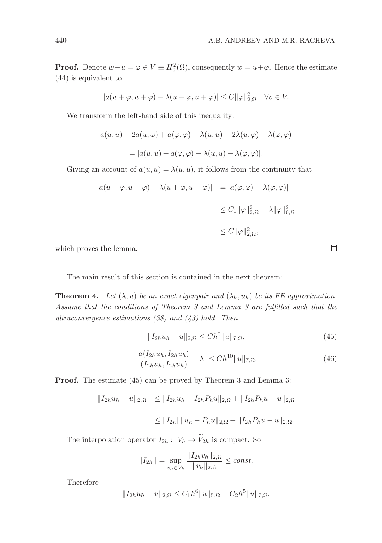**Proof.** Denote  $w - u = \varphi \in V \equiv H_0^2(\Omega)$ , consequently  $w = u + \varphi$ . Hence the estimate (44) is equivalent to

$$
|a(u+\varphi, u+\varphi) - \lambda(u+\varphi, u+\varphi)| \le C ||\varphi||_{2,\Omega}^2 \quad \forall v \in V.
$$

We transform the left-hand side of this inequality:

$$
|a(u, u) + 2a(u, \varphi) + a(\varphi, \varphi) - \lambda(u, u) - 2\lambda(u, \varphi) - \lambda(\varphi, \varphi)|
$$
  
= 
$$
|a(u, u) + a(\varphi, \varphi) - \lambda(u, u) - \lambda(\varphi, \varphi)|.
$$

Giving an account of  $a(u, u) = \lambda(u, u)$ , it follows from the continuity that

$$
|a(u + \varphi, u + \varphi) - \lambda(u + \varphi, u + \varphi)| = |a(\varphi, \varphi) - \lambda(\varphi, \varphi)|
$$
  

$$
\leq C_1 \|\varphi\|_{2, \Omega}^2 + \lambda \|\varphi\|_{0, \Omega}^2
$$
  

$$
\leq C \|\varphi\|_{2, \Omega}^2,
$$

which proves the lemma.

The main result of this section is contained in the next theorem:

**Theorem 4.** Let  $(\lambda, u)$  be an exact eigenpair and  $(\lambda_h, u_h)$  be its FE approximation. Assume that the conditions of Theorem 3 and Lemma 3 are fulfilled such that the ultraconvergence estimations  $(38)$  and  $(43)$  hold. Then

$$
||I_{2h}u_h - u||_{2,\Omega} \le Ch^5 ||u||_{7,\Omega},
$$
\n(45)

$$
\left| \frac{a(I_{2h}u_h, I_{2h}u_h)}{(I_{2h}u_h, I_{2h}u_h)} - \lambda \right| \le Ch^{10} \|u\|_{7,\Omega}.
$$
\n(46)

Proof. The estimate (45) can be proved by Theorem 3 and Lemma 3:

$$
||I_{2h}u_h - u||_{2,\Omega} \le ||I_{2h}u_h - I_{2h}P_hu||_{2,\Omega} + ||I_{2h}P_hu - u||_{2,\Omega}
$$
  

$$
\le ||I_{2h}|| ||u_h - P_hu||_{2,\Omega} + ||I_{2h}P_hu - u||_{2,\Omega}.
$$

The interpolation operator  $I_{2h}$  :  $\mathit{V}_h$   $\rightarrow$   $\widetilde{\mathit{V}}_{2h}$  is compact. So

$$
||I_{2h}|| = \sup_{v_h \in V_h} \frac{||I_{2h}v_h||_{2,\Omega}}{||v_h||_{2,\Omega}} \le const.
$$

Therefore

$$
||I_{2h}u_h - u||_{2,\Omega} \le C_1 h^6 ||u||_{5,\Omega} + C_2 h^5 ||u||_{7,\Omega}.
$$

 $\Box$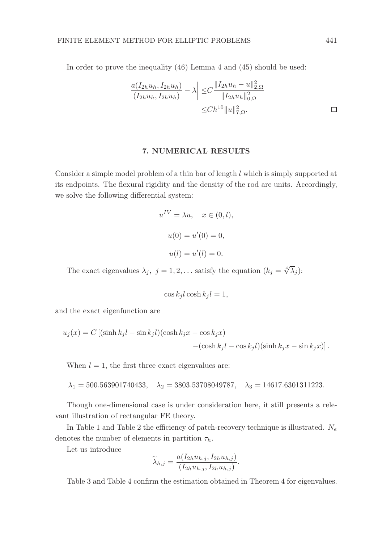In order to prove the inequality (46) Lemma 4 and (45) should be used:

$$
\left| \frac{a(I_{2h}u_h, I_{2h}u_h)}{(I_{2h}u_h, I_{2h}u_h)} - \lambda \right| \leq C \frac{\|I_{2h}u_h - u\|_{2,\Omega}^2}{\|I_{2h}u_h\|_{0,\Omega}^2}
$$

$$
\leq Ch^{10} \|u\|_{7,\Omega}^2.
$$

## 7. NUMERICAL RESULTS

Consider a simple model problem of a thin bar of length l which is simply supported at its endpoints. The flexural rigidity and the density of the rod are units. Accordingly, we solve the following differential system:

$$
u^{IV} = \lambda u, \quad x \in (0, l),
$$
  

$$
u(0) = u'(0) = 0,
$$
  

$$
u(l) = u'(l) = 0.
$$

The exact eigenvalues  $\lambda_j$ ,  $j = 1, 2, \ldots$  satisfy the equation  $(k_j = \sqrt[4]{\lambda_j})$ :

$$
\cos k_j l \cosh k_j l = 1,
$$

and the exact eigenfunction are

$$
u_j(x) = C [(\sinh k_j l - \sin k_j l)(\cosh k_j x - \cos k_j x) - (\cosh k_j l - \cos k_j l)(\sinh k_j x - \sin k_j x)].
$$

When  $l = 1$ , the first three exact eigenvalues are:

$$
\lambda_1=500.563901740433, \quad \lambda_2=3803.53708049787, \quad \lambda_3=14617.6301311223.
$$

Though one-dimensional case is under consideration here, it still presents a relevant illustration of rectangular FE theory.

In Table 1 and Table 2 the efficiency of patch-recovery technique is illustrated.  $N_e$ denotes the number of elements in partition  $\tau_h$ .

Let us introduce

$$
\widetilde{\lambda}_{h,j} = \frac{a(I_{2h}u_{h,j}, I_{2h}u_{h,j})}{(I_{2h}u_{h,j}, I_{2h}u_{h,j})}.
$$

Table 3 and Table 4 confirm the estimation obtained in Theorem 4 for eigenvalues.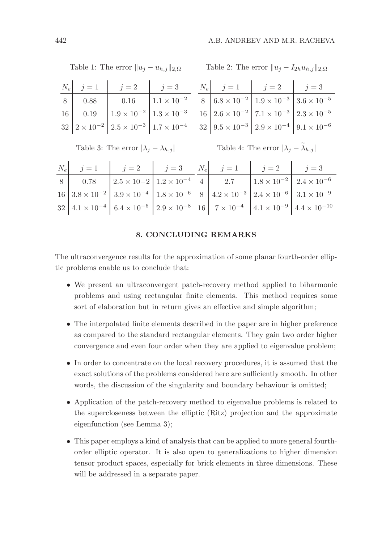| Table 1: The error $  u_j - u_{h,j}  _{2,\Omega}$ |  |                                                                                           |                                                 | Table 2: The error $  u_j - I_{2h}u_{h,j}  _{2,\Omega}$ |                                                                                                                                                                                                                                                      |  |  |  |  |
|---------------------------------------------------|--|-------------------------------------------------------------------------------------------|-------------------------------------------------|---------------------------------------------------------|------------------------------------------------------------------------------------------------------------------------------------------------------------------------------------------------------------------------------------------------------|--|--|--|--|
|                                                   |  | $N_e$ $j=1$ $j=2$ $j=3$                                                                   |                                                 |                                                         | $N_e$ $j=1$ $j=2$ $j=3$                                                                                                                                                                                                                              |  |  |  |  |
|                                                   |  | 8 0.88 0.16 $1.1 \times 10^{-2}$                                                          |                                                 |                                                         | $\begin{tabular}{ c c c c } \hline 8 & 6.8\times10^{-2} & 1.9\times10^{-3} & 3.6\times10^{-5} \\ 16 & 2.6\times10^{-2} & 7.1\times10^{-3} & 2.3\times10^{-5} \\ 32 & 9.5\times10^{-3} & 2.9\times10^{-4} & 9.1\times10^{-6} \\ \hline \end{tabular}$ |  |  |  |  |
|                                                   |  | 16 0.19 $1.9 \times 10^{-2}$ $1.3 \times 10^{-3}$                                         |                                                 |                                                         |                                                                                                                                                                                                                                                      |  |  |  |  |
|                                                   |  | $32\left[2\times10^{-2}\right]\left[2.5\times10^{-3}\right]\left[1.7\times10^{-4}\right]$ |                                                 |                                                         |                                                                                                                                                                                                                                                      |  |  |  |  |
| Table 3: The error $ \lambda_j - \lambda_{h,j} $  |  |                                                                                           |                                                 |                                                         | Table 4: The error $ \lambda_j - \tilde{\lambda}_{h,j} $                                                                                                                                                                                             |  |  |  |  |
|                                                   |  |                                                                                           |                                                 |                                                         |                                                                                                                                                                                                                                                      |  |  |  |  |
|                                                   |  |                                                                                           | $N_e$ $j=1$ $j=2$ $j=3$ $N_e$ $j=1$ $j=2$ $j=3$ |                                                         |                                                                                                                                                                                                                                                      |  |  |  |  |
|                                                   |  |                                                                                           |                                                 |                                                         |                                                                                                                                                                                                                                                      |  |  |  |  |
|                                                   |  |                                                                                           |                                                 |                                                         |                                                                                                                                                                                                                                                      |  |  |  |  |
|                                                   |  |                                                                                           |                                                 |                                                         |                                                                                                                                                                                                                                                      |  |  |  |  |

### 8. CONCLUDING REMARKS

The ultraconvergence results for the approximation of some planar fourth-order elliptic problems enable us to conclude that:

- We present an ultraconvergent patch-recovery method applied to biharmonic problems and using rectangular finite elements. This method requires some sort of elaboration but in return gives an effective and simple algorithm;
- The interpolated finite elements described in the paper are in higher preference as compared to the standard rectangular elements. They gain two order higher convergence and even four order when they are applied to eigenvalue problem;
- In order to concentrate on the local recovery procedures, it is assumed that the exact solutions of the problems considered here are sufficiently smooth. In other words, the discussion of the singularity and boundary behaviour is omitted;
- Application of the patch-recovery method to eigenvalue problems is related to the supercloseness between the elliptic (Ritz) projection and the approximate eigenfunction (see Lemma 3);
- This paper employs a kind of analysis that can be applied to more general fourthorder elliptic operator. It is also open to generalizations to higher dimension tensor product spaces, especially for brick elements in three dimensions. These will be addressed in a separate paper.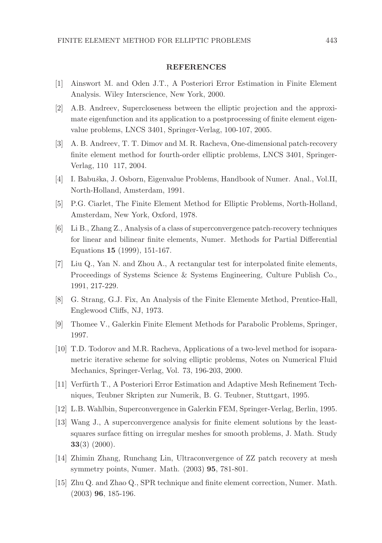#### REFERENCES

- [1] Ainswort M. and Oden J.T., A Posteriori Error Estimation in Finite Element Analysis. Wiley Interscience, New York, 2000.
- [2] A.B. Andreev, Supercloseness between the elliptic projection and the approximate eigenfunction and its application to a postprocessing of finite element eigenvalue problems, LNCS 3401, Springer-Verlag, 100-107, 2005.
- [3] A. B. Andreev, T. T. Dimov and M. R. Racheva, One-dimensional patch-recovery finite element method for fourth-order elliptic problems, LNCS 3401, Springer-Verlag, 110 117, 2004.
- [4] I. Babuška, J. Osborn, Eigenvalue Problems, Handbook of Numer. Anal., Vol.II, North-Holland, Amsterdam, 1991.
- [5] P.G. Ciarlet, The Finite Element Method for Elliptic Problems, North-Holland, Amsterdam, New York, Oxford, 1978.
- [6] Li B., Zhang Z., Analysis of a class of superconvergence patch-recovery techniques for linear and bilinear finite elements, Numer. Methods for Partial Differential Equations 15 (1999), 151-167.
- [7] Liu Q., Yan N. and Zhou A., A rectangular test for interpolated finite elements, Proceedings of Systems Science & Systems Engineering, Culture Publish Co., 1991, 217-229.
- [8] G. Strang, G.J. Fix, An Analysis of the Finite Elemente Method, Prentice-Hall, Englewood Cliffs, NJ, 1973.
- [9] Thomee V., Galerkin Finite Element Methods for Parabolic Problems, Springer, 1997.
- [10] T.D. Todorov and M.R. Racheva, Applications of a two-level method for isoparametric iterative scheme for solving elliptic problems, Notes on Numerical Fluid Mechanics, Springer-Verlag, Vol. 73, 196-203, 2000.
- [11] Verfürth T., A Posteriori Error Estimation and Adaptive Mesh Refinement Techniques, Teubner Skripten zur Numerik, B. G. Teubner, Stuttgart, 1995.
- [12] L.B. Wahlbin, Superconvergence in Galerkin FEM, Springer-Verlag, Berlin, 1995.
- [13] Wang J., A superconvergence analysis for finite element solutions by the leastsquares surface fitting on irregular meshes for smooth problems, J. Math. Study  $33(3)$  (2000).
- [14] Zhimin Zhang, Runchang Lin, Ultraconvergence of ZZ patch recovery at mesh symmetry points, Numer. Math. (2003) 95, 781-801.
- [15] Zhu Q. and Zhao Q., SPR technique and finite element correction, Numer. Math. (2003) 96, 185-196.